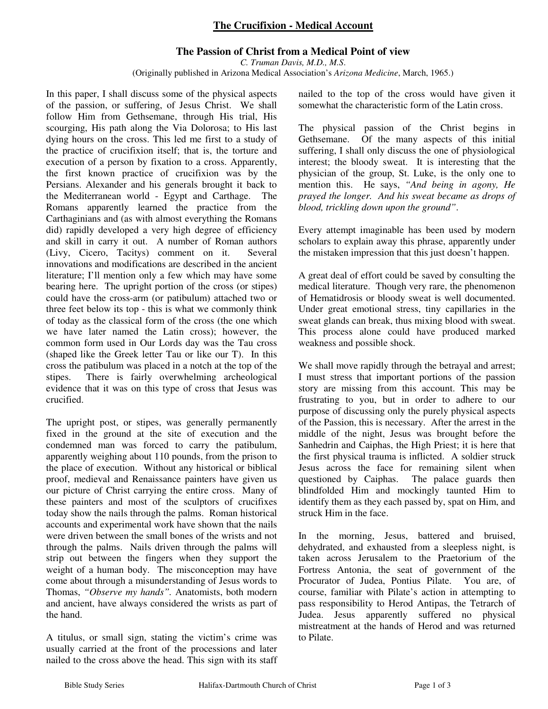## **The Crucifixion - Medical Account**

## **The Passion of Christ from a Medical Point of view**

*C. Truman Davis, M.D., M.S*.

(Originally published in Arizona Medical Association's *Arizona Medicine*, March, 1965.)

In this paper, I shall discuss some of the physical aspects of the passion, or suffering, of Jesus Christ. We shall follow Him from Gethsemane, through His trial, His scourging, His path along the Via Dolorosa; to His last dying hours on the cross. This led me first to a study of the practice of crucifixion itself; that is, the torture and execution of a person by fixation to a cross. Apparently, the first known practice of crucifixion was by the Persians. Alexander and his generals brought it back to the Mediterranean world - Egypt and Carthage. The Romans apparently learned the practice from the Carthaginians and (as with almost everything the Romans did) rapidly developed a very high degree of efficiency and skill in carry it out. A number of Roman authors (Livy, Cicero, Tacitys) comment on it. Several innovations and modifications are described in the ancient literature; I'll mention only a few which may have some bearing here. The upright portion of the cross (or stipes) could have the cross-arm (or patibulum) attached two or three feet below its top - this is what we commonly think of today as the classical form of the cross (the one which we have later named the Latin cross); however, the common form used in Our Lords day was the Tau cross (shaped like the Greek letter Tau or like our T). In this cross the patibulum was placed in a notch at the top of the stipes. There is fairly overwhelming archeological evidence that it was on this type of cross that Jesus was crucified.

The upright post, or stipes, was generally permanently fixed in the ground at the site of execution and the condemned man was forced to carry the patibulum, apparently weighing about 110 pounds, from the prison to the place of execution. Without any historical or biblical proof, medieval and Renaissance painters have given us our picture of Christ carrying the entire cross. Many of these painters and most of the sculptors of crucifixes today show the nails through the palms. Roman historical accounts and experimental work have shown that the nails were driven between the small bones of the wrists and not through the palms. Nails driven through the palms will strip out between the fingers when they support the weight of a human body. The misconception may have come about through a misunderstanding of Jesus words to Thomas, *"Observe my hands".* Anatomists, both modern and ancient, have always considered the wrists as part of the hand.

A titulus, or small sign, stating the victim's crime was usually carried at the front of the processions and later nailed to the cross above the head. This sign with its staff nailed to the top of the cross would have given it somewhat the characteristic form of the Latin cross.

The physical passion of the Christ begins in Gethsemane. Of the many aspects of this initial suffering, I shall only discuss the one of physiological interest; the bloody sweat. It is interesting that the physician of the group, St. Luke, is the only one to mention this. He says, *"And being in agony, He prayed the longer. And his sweat became as drops of blood, trickling down upon the ground"*.

Every attempt imaginable has been used by modern scholars to explain away this phrase, apparently under the mistaken impression that this just doesn't happen.

A great deal of effort could be saved by consulting the medical literature. Though very rare, the phenomenon of Hematidrosis or bloody sweat is well documented. Under great emotional stress, tiny capillaries in the sweat glands can break, thus mixing blood with sweat. This process alone could have produced marked weakness and possible shock.

We shall move rapidly through the betrayal and arrest; I must stress that important portions of the passion story are missing from this account. This may be frustrating to you, but in order to adhere to our purpose of discussing only the purely physical aspects of the Passion, this is necessary. After the arrest in the middle of the night, Jesus was brought before the Sanhedrin and Caiphas, the High Priest; it is here that the first physical trauma is inflicted. A soldier struck Jesus across the face for remaining silent when questioned by Caiphas. The palace guards then blindfolded Him and mockingly taunted Him to identify them as they each passed by, spat on Him, and struck Him in the face.

In the morning, Jesus, battered and bruised, dehydrated, and exhausted from a sleepless night, is taken across Jerusalem to the Praetorium of the Fortress Antonia, the seat of government of the Procurator of Judea, Pontius Pilate. You are, of course, familiar with Pilate's action in attempting to pass responsibility to Herod Antipas, the Tetrarch of Judea. Jesus apparently suffered no physical mistreatment at the hands of Herod and was returned to Pilate.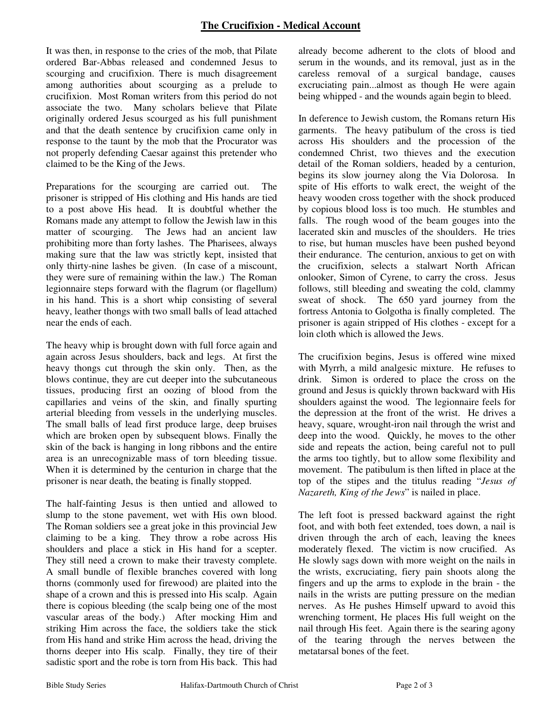It was then, in response to the cries of the mob, that Pilate ordered Bar-Abbas released and condemned Jesus to scourging and crucifixion. There is much disagreement among authorities about scourging as a prelude to crucifixion. Most Roman writers from this period do not associate the two. Many scholars believe that Pilate originally ordered Jesus scourged as his full punishment and that the death sentence by crucifixion came only in response to the taunt by the mob that the Procurator was not properly defending Caesar against this pretender who claimed to be the King of the Jews.

Preparations for the scourging are carried out. The prisoner is stripped of His clothing and His hands are tied to a post above His head. It is doubtful whether the Romans made any attempt to follow the Jewish law in this matter of scourging. The Jews had an ancient law prohibiting more than forty lashes. The Pharisees, always making sure that the law was strictly kept, insisted that only thirty-nine lashes be given. (In case of a miscount, they were sure of remaining within the law.) The Roman legionnaire steps forward with the flagrum (or flagellum) in his hand. This is a short whip consisting of several heavy, leather thongs with two small balls of lead attached near the ends of each.

The heavy whip is brought down with full force again and again across Jesus shoulders, back and legs. At first the heavy thongs cut through the skin only. Then, as the blows continue, they are cut deeper into the subcutaneous tissues, producing first an oozing of blood from the capillaries and veins of the skin, and finally spurting arterial bleeding from vessels in the underlying muscles. The small balls of lead first produce large, deep bruises which are broken open by subsequent blows. Finally the skin of the back is hanging in long ribbons and the entire area is an unrecognizable mass of torn bleeding tissue. When it is determined by the centurion in charge that the prisoner is near death, the beating is finally stopped.

The half-fainting Jesus is then untied and allowed to slump to the stone pavement, wet with His own blood. The Roman soldiers see a great joke in this provincial Jew claiming to be a king. They throw a robe across His shoulders and place a stick in His hand for a scepter. They still need a crown to make their travesty complete. A small bundle of flexible branches covered with long thorns (commonly used for firewood) are plaited into the shape of a crown and this is pressed into His scalp. Again there is copious bleeding (the scalp being one of the most vascular areas of the body.) After mocking Him and striking Him across the face, the soldiers take the stick from His hand and strike Him across the head, driving the thorns deeper into His scalp. Finally, they tire of their sadistic sport and the robe is torn from His back. This had

already become adherent to the clots of blood and serum in the wounds, and its removal, just as in the careless removal of a surgical bandage, causes excruciating pain...almost as though He were again being whipped - and the wounds again begin to bleed.

In deference to Jewish custom, the Romans return His garments. The heavy patibulum of the cross is tied across His shoulders and the procession of the condemned Christ, two thieves and the execution detail of the Roman soldiers, headed by a centurion, begins its slow journey along the Via Dolorosa. In spite of His efforts to walk erect, the weight of the heavy wooden cross together with the shock produced by copious blood loss is too much. He stumbles and falls. The rough wood of the beam gouges into the lacerated skin and muscles of the shoulders. He tries to rise, but human muscles have been pushed beyond their endurance. The centurion, anxious to get on with the crucifixion, selects a stalwart North African onlooker, Simon of Cyrene, to carry the cross. Jesus follows, still bleeding and sweating the cold, clammy sweat of shock. The 650 yard journey from the fortress Antonia to Golgotha is finally completed. The prisoner is again stripped of His clothes - except for a loin cloth which is allowed the Jews.

The crucifixion begins, Jesus is offered wine mixed with Myrrh, a mild analgesic mixture. He refuses to drink. Simon is ordered to place the cross on the ground and Jesus is quickly thrown backward with His shoulders against the wood. The legionnaire feels for the depression at the front of the wrist. He drives a heavy, square, wrought-iron nail through the wrist and deep into the wood. Quickly, he moves to the other side and repeats the action, being careful not to pull the arms too tightly, but to allow some flexibility and movement. The patibulum is then lifted in place at the top of the stipes and the titulus reading "*Jesus of Nazareth, King of the Jews*" is nailed in place.

The left foot is pressed backward against the right foot, and with both feet extended, toes down, a nail is driven through the arch of each, leaving the knees moderately flexed. The victim is now crucified. As He slowly sags down with more weight on the nails in the wrists, excruciating, fiery pain shoots along the fingers and up the arms to explode in the brain - the nails in the wrists are putting pressure on the median nerves. As He pushes Himself upward to avoid this wrenching torment, He places His full weight on the nail through His feet. Again there is the searing agony of the tearing through the nerves between the metatarsal bones of the feet.